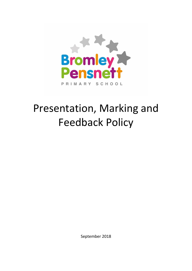

# Presentation, Marking and Feedback Policy

September 2018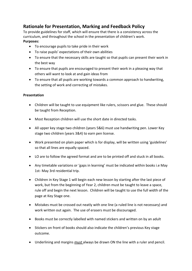### **Rationale for Presentation, Marking and Feedback Policy**

To provide guidelines for staff, which will ensure that there is a consistency across the curriculum, and throughout the school in the presentation of children's work. **Purposes:**

- To encourage pupils to take pride in their work
- To raise pupils' expectations of their own abilities
- To ensure that the necessary skills are taught so that pupils can present their work in the best way
- To ensure that pupils are encouraged to present their work in a pleasing way that others will want to look at and gain ideas from
- To ensure that all pupils are working towards a common approach to handwriting, the setting of work and correcting of mistakes.

#### **Presentation**

- Children will be taught to use equipment like rulers, scissors and glue. These should be taught from Reception.
- Most Reception children will use the short date in directed tasks.
- All upper key stage two children (years 5&6) must use handwriting pen. Lower Key stage two children (years 3&4) to earn pen license.
- Work presented on plain paper which is for display, will be written using 'guidelines' so that all lines are equally spaced.
- LO are to follow the agreed format and are to be printed off and stuck in all books.
- Any timetable variations or 'gaps in learning' must be indicated within books i.e May 1st- May 3rd residential trip.
- Children in Key Stage 1 will begin each new lesson by starting after the last piece of work, but from the beginning of Year 2, children must be taught to leave a space, rule off and begin the next lesson. Children will be taught to use the full width of the page at Key Stage one.
- Mistakes must be crossed out neatly with one line (a ruled line is not necessary) and work written out again. The use of erasers must be discouraged.
- Books must be correctly labelled with named stickers and written on by an adult
- Stickers on front of books should also indicate the children's previous Key stage outcome.
- Underlining and margins *must* always be drawn ON the line with a ruler and pencil.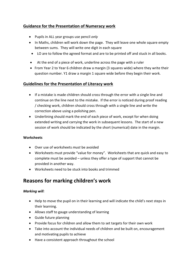#### **Guidance for the Presentation of Numeracy work**

- Pupils in ALL year groups use pencil *only*
- In Maths, children will work down the page. They will leave one whole square empty between sums. They will write one digit in each square
- LO are to follow the agreed format and are to be printed off and stuck in all books.
- At the end of a piece of work, underline across the page with a ruler
- From Year 2 to Year 6 children draw a margin (3 squares wide) where they write their question number. Y1 draw a margin 1 square wide before they begin their work.

#### **Guidelines for the Presentation of Literacy work**

- If a mistake is made children should cross through the error with a single line and continue on the line next to the mistake. If the error is noticed during proof reading / checking work, children should cross through with a single line and write the correction above using a polishing pen.
- Underlining should mark the end of each piece of work, except for when doing extended writing and carrying the work in subsequent lessons. The start of a new session of work should be indicated by the short (numerical) date in the margin.

#### **Worksheets**

- Over use of worksheets *must* be avoided
- Worksheets must provide "value for money". Worksheets that are quick and easy to complete must be avoided – unless they offer a type of support that cannot be provided in another way.
- Worksheets need to be stuck into books and trimmed

### **Reasons for marking children's work**

#### *Marking will:*

- Help to move the pupil on in their learning and will indicate the child's next steps in their learning.
- Allows staff to gauge understanding of learning
- Guide future planning
- Provide focus for children and allow them to set targets for their own work
- Take into account the individual needs of children and be built on, encouragement and motivating pupils to achieve
- Have a consistent approach throughout the school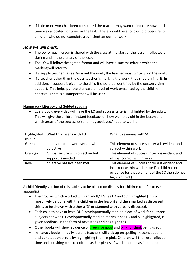If little or no work has been completed the teacher may want to indicate how much time was allocated for time for the task. There should be a follow-up procedure for children who do not complete a sufficient amount of work.

#### *How we will mark:*

- The LO for each lesson is shared with the class at the start of the lesson, reflected on during and in the plenary of the lesson.
- The LO will follow the agreed format and will have a success criteria which the marking will refer to.
- If a supply teacher has set/marked the work, the teacher must write S on the work.
- If a teacher other than the class teacher is marking the work, they should initial it. In addition, if support is given to the child it should be identified by the person giving support. This helps put the standard or level of work presented by the child in context. There is a stamper that will be used.

#### **Numeracy/ Literacy and Guided reading**

 Every book, every day will have the LO and success criteria highlighted by the adult. This will give the children instant feedback on how well they did in the lesson and which areas of the success criteria they achieved/ need to work on.

| Highlighted | What this means with LO          | What this means with SC                         |
|-------------|----------------------------------|-------------------------------------------------|
| colour      |                                  |                                                 |
| Green-      | means children were secure with  | This element of success criteria is evident and |
|             | objective                        | correct within work                             |
| Orange-     | Almost secure with objective but | This element of success criteria is evident and |
|             | support is needed                | almost correct within work                      |
| Red-        | objective has not been met       | This element of success criteria is evident and |
|             |                                  | incorrect within work (note if a child has no   |
|             |                                  | evidence for that element of the SC then do not |
|             |                                  | highlight red.)                                 |

A child friendly version of this table is to be placed on display for children to refer to (see appendix)

- The group/s which worked with an adult/ TA has LO and SC highlighted (this will most likely be done with the children in the lesson) and then marked as discussed this is to be shown with either a 'D' or stamped with verbally discussed.
- Each child to have at least ONE developmentally marked piece of work for all three subjects per week. Developmentally marked means it has LO and SC highlighted, is given feedback in the form of next steps and has a gap task.
- Other books will show evidence of green for good and pink for think being used.
- In literacy books- in daily lessons teachers will pick up on spelling misconceptions and punctuation errors by highlighting them in pink. Children will then use reflection time and polishing pens to edit these. For pieces of work deemed as 'independent'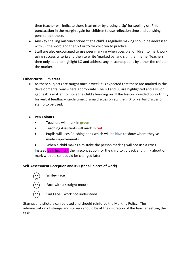then teacher will indicate there is an error by placing a 'Sp' for spelling or 'P' for punctuation in the margin again for children to use reflection time and polishing pens to edit these.

- Any key spelling misconceptions that a child is regularly making should be addressed with SP the word and then x3 or x5 for children to practice.
- Staff are also encouraged to use peer marking when possible. Children to mark work using success criteria and then to write 'marked by' and sign their name. Teachers then only need to highlight LO and address any misconceptions by either the child or the marker.

#### **Other curriculum areas**

- As these subjects are taught once a week it is expected that these are marked in the developmental way where appropriate. The LO and SC are highlighted and a NS or gap task is written to move the child's learning on. If the lesson provided opportunity for verbal feedback- circle time, drama discussion etc then 'D' or verbal discussion stamp to be used.
- **•** Pen Colours
	- Teachers will mark in **green**
	- Teaching Assistants will mark in **red**
	- Pupils will uses Polishing pens which will be **blue** to show where they've made improvements.
	- When a child makes a mistake the person marking will not use a cross. Instead pink highlight the misconception for the child to go back and think about or mark with a .. so it could be changed later.

#### **Self-Assessment Reception and KS1 (for all pieces of work)**



Smiley Face

Face with a straight mouth

Sad Face – work not understood

Stamps and stickers can be used and should reinforce the Marking Policy. The administration of stamps and stickers should be at the discretion of the teacher setting the task.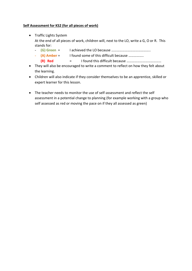#### **Self Assessment for KS2 (for all pieces of work)**

- Traffic Lights System At the end of all pieces of work, children will, next to the LO, write a G, O or R. This stands for:
	- **(G) Green** = I achieved the LO because ……………………………………..
	- **(A) Amber** = I found some of this difficult because ……………..
		- **(R) Red** = I found this difficult because …………………………………
- They will also be encouraged to write a comment to reflect on how they felt about the learning.
- Children will also indicate if they consider themselves to be an apprentice, skilled or expert learner for this lesson.
- The teacher needs to monitor the use of self-assessment and reflect the self assessment in a potential change to planning (for example working with a group who self assessed as red or moving the pace on if they all assessed as green)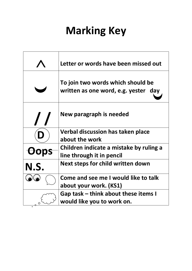# **Marking Key**

|      | Letter or words have been missed out                                      |
|------|---------------------------------------------------------------------------|
|      | To join two words which should be<br>written as one word, e.g. yester day |
|      | New paragraph is needed                                                   |
|      | Verbal discussion has taken place<br>about the work                       |
|      | Children indicate a mistake by ruling a<br>line through it in pencil      |
| N.S. | Next steps for child written down                                         |
|      | Come and see me I would like to talk<br>about your work. (KS1)            |
|      | Gap task – think about these items I<br>would like you to work on.        |